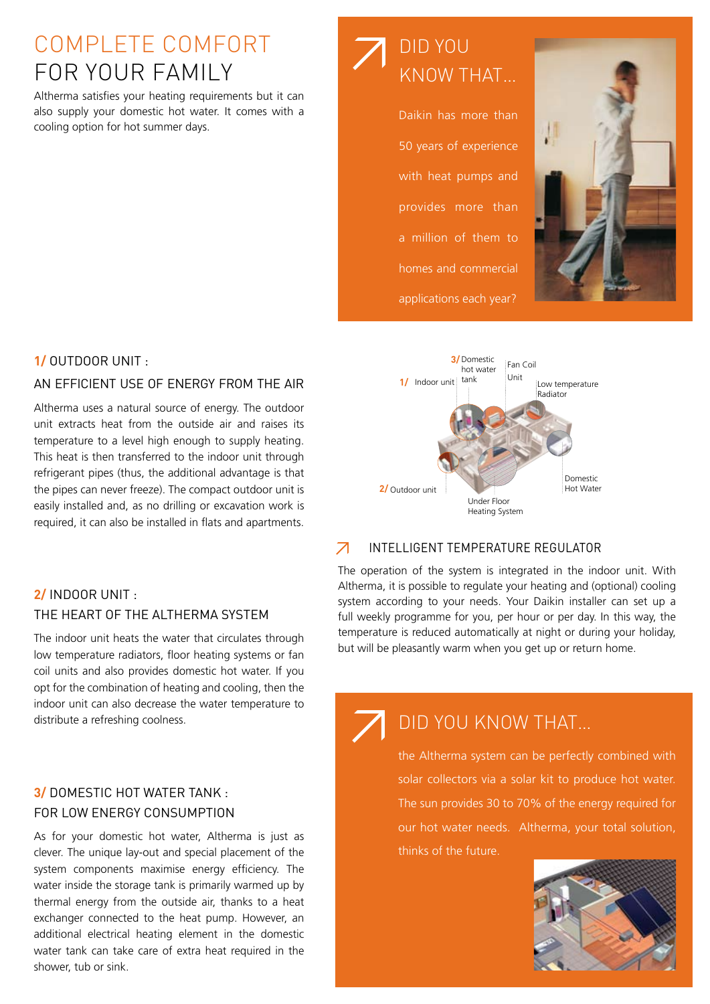# complete COMFORT FOR YOUR FAMILY

Altherma satisfies your heating requirements but it can also supply your domestic hot water. It comes with a cooling option for hot summer days.



#### an efficient use of energy from the air

Altherma uses a natural source of energy. The outdoor unit extracts heat from the outside air and raises its temperature to a level high enough to supply heating. This heat is then transferred to the indoor unit through refrigerant pipes (thus, the additional advantage is that the pipes can never freeze). The compact outdoor unit is easily installed and, as no drilling or excavation work is required, it can also be installed in flats and apartments.

## **2/** Indoor unit : the heart of the Altherma system

The indoor unit heats the water that circulates through low temperature radiators, floor heating systems or fan coil units and also provides domestic hot water. If you opt for the combination of heating and cooling, then the indoor unit can also decrease the water temperature to distribute a refreshing coolness.

## **3/** Domestic hot water tank : for low energy consumption

As for your domestic hot water, Altherma is just as clever. The unique lay-out and special placement of the system components maximise energy efficiency. The water inside the storage tank is primarily warmed up by thermal energy from the outside air, thanks to a heat exchanger connected to the heat pump. However, an additional electrical heating element in the domestic water tank can take care of extra heat required in the shower, tub or sink.



Daikin has more than 50 years of experience with heat pumps and provides more than a million of them to homes and commercial applications each year?





#### $\overline{\mathcal{A}}$ intelligent temperature regulator

The operation of the system is integrated in the indoor unit. With Altherma, it is possible to regulate your heating and (optional) cooling system according to your needs. Your Daikin installer can set up a full weekly programme for you, per hour or per day. In this way, the temperature is reduced automatically at night or during your holiday, but will be pleasantly warm when you get up or return home.

## Did you know that…

the Altherma system can be perfectly combined with solar collectors via a solar kit to produce hot water. The sun provides 30 to 70% of the energy required for our hot water needs. Altherma, your total solution, thinks of the future.